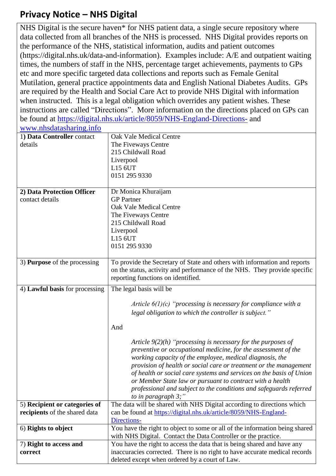## **Privacy Notice – NHS Digital**

NHS Digital is the secure haven\* for NHS patient data, a single secure repository where data collected from all branches of the NHS is processed. NHS Digital provides reports on the performance of the NHS, statistical information, audits and patient outcomes (https://digital.nhs.uk/data-and-information). Examples include: A/E and outpatient waiting times, the numbers of staff in the NHS, percentage target achievements, payments to GPs etc and more specific targeted data collections and reports such as Female Genital Mutilation, general practice appointments data and English National Diabetes Audits. GPs are required by the Health and Social Care Act to provide NHS Digital with information when instructed. This is a legal obligation which overrides any patient wishes. These instructions are called "Directions". More information on the directions placed on GPs can be found at <https://digital.nhs.uk/article/8059/NHS-England-Directions-> and [www.nhsdatasharing.info](http://www.nhsdatasharing.info/).

| <u> 11 m minivuutunnum (mno</u>     |                                                                             |
|-------------------------------------|-----------------------------------------------------------------------------|
| 1) Data Controller contact          | <b>Oak Vale Medical Centre</b>                                              |
| details                             | The Fiveways Centre                                                         |
|                                     | 215 Childwall Road                                                          |
|                                     | Liverpool                                                                   |
|                                     | L15 6UT                                                                     |
|                                     | 0151 295 9330                                                               |
|                                     |                                                                             |
| 2) Data Protection Officer          | Dr Monica Khuraijam                                                         |
| contact details                     | <b>GP</b> Partner                                                           |
|                                     | Oak Vale Medical Centre                                                     |
|                                     | The Fiveways Centre                                                         |
|                                     | 215 Childwall Road                                                          |
|                                     | Liverpool                                                                   |
|                                     | L15 6UT                                                                     |
|                                     | 0151 295 9330                                                               |
|                                     |                                                                             |
| 3) <b>Purpose</b> of the processing | To provide the Secretary of State and others with information and reports   |
|                                     | on the status, activity and performance of the NHS. They provide specific   |
|                                     | reporting functions on identified.                                          |
| 4) Lawful basis for processing      | The legal basis will be                                                     |
|                                     |                                                                             |
|                                     | Article $6(1)(c)$ "processing is necessary for compliance with a            |
|                                     | legal obligation to which the controller is subject."                       |
|                                     |                                                                             |
|                                     | And                                                                         |
|                                     |                                                                             |
|                                     | Article $9(2)(h)$ "processing is necessary for the purposes of              |
|                                     | preventive or occupational medicine, for the assessment of the              |
|                                     | working capacity of the employee, medical diagnosis, the                    |
|                                     | provision of health or social care or treatment or the management           |
|                                     | of health or social care systems and services on the basis of Union         |
|                                     | or Member State law or pursuant to contract with a health                   |
|                                     | professional and subject to the conditions and safeguards referred          |
|                                     | to in paragraph $3$ ;"                                                      |
| 5) Recipient or categories of       | The data will be shared with NHS Digital according to directions which      |
| recipients of the shared data       | can be found at https://digital.nhs.uk/article/8059/NHS-England-            |
|                                     | Directions-                                                                 |
| 6) Rights to object                 | You have the right to object to some or all of the information being shared |
|                                     | with NHS Digital. Contact the Data Controller or the practice.              |
| 7) Right to access and              | You have the right to access the data that is being shared and have any     |
| correct                             | inaccuracies corrected. There is no right to have accurate medical records  |
|                                     | deleted except when ordered by a court of Law.                              |
|                                     |                                                                             |